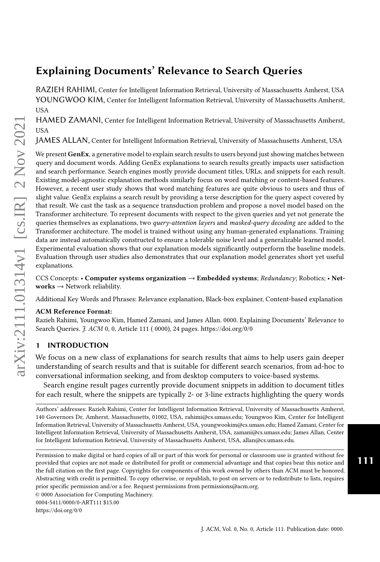# Explaining Documents' Relevance to Search Queries

RAZIEH RAHIMI, Center for Intelligent Information Retrieval, University of Massachusetts Amherst, USA YOUNGWOO KIM, Center for Intelligent Information Retrieval, University of Massachusetts Amherst, USA

HAMED ZAMANI, Center for Intelligent Information Retrieval, University of Massachusetts Amherst, USA

JAMES ALLAN, Center for Intelligent Information Retrieval, University of Massachusetts Amherst, USA

We present GenEx, a generative model to explain search results to users beyond just showing matches between query and document words. Adding GenEx explanations to search results greatly impacts user satisfaction and search performance. Search engines mostly provide document titles, URLs, and snippets for each result. Existing model-agnostic explanation methods similarly focus on word matching or content-based features. However, a recent user study shows that word matching features are quite obvious to users and thus of slight value. GenEx explains a search result by providing a terse description for the query aspect covered by that result. We cast the task as a sequence transduction problem and propose a novel model based on the Transformer architecture. To represent documents with respect to the given queries and yet not generate the queries themselves as explanations, two *query-attention layers* and *masked-query decoding* are added to the Transformer architecture. The model is trained without using any human-generated explanations. Training data are instead automatically constructed to ensure a tolerable noise level and a generalizable learned model. Experimental evaluation shows that our explanation models significantly outperform the baseline models. Evaluation through user studies also demonstrates that our explanation model generates short yet useful explanations.

CCS Concepts: • Computer systems organization → Embedded systems; Redundancy; Robotics; • Net $works \rightarrow Network$  reliability.

Additional Key Words and Phrases: Relevance explanation, Black-box explainer, Content-based explanation

#### ACM Reference Format:

Razieh Rahimi, Youngwoo Kim, Hamed Zamani, and James Allan. 0000. Explaining Documents' Relevance to Search Queries. J. ACM 0, 0, Article 111 ( 0000), [24](#page-23-0) pages.<https://doi.org/0/0>

#### 1 INTRODUCTION

We focus on a new class of explanations for search results that aims to help users gain deeper understanding of search results and that is suitable for different search scenarios, from ad-hoc to conversational information seeking, and from desktop computers to voice-based systems.

Search engine result pages currently provide document snippets in addition to document titles for each result, where the snippets are typically 2- or 3-line extracts highlighting the query words

Authors' addresses: Razieh Rahimi, Center for Intelligent Information Retrieval, University of Massachusetts Amherst, 140 Governors Dr, Amherst, Massachusetts, 01002, USA, rahimi@cs.umass.edu; Youngwoo Kim, Center for Intelligent Information Retrieval, University of Massachusetts Amherst, USA, youngwookim@cs.umass.edu; Hamed Zamani, Center for Intelligent Information Retrieval, University of Massachusetts Amherst, USA, zamani@cs.umass.edu; James Allan, Center for Intelligent Information Retrieval, University of Massachusetts Amherst, USA, allan@cs.umass.edu.

Permission to make digital or hard copies of all or part of this work for personal or classroom use is granted without fee provided that copies are not made or distributed for profit or commercial advantage and that copies bear this notice and the full citation on the first page. Copyrights for components of this work owned by others than ACM must be honored. Abstracting with credit is permitted. To copy otherwise, or republish, to post on servers or to redistribute to lists, requires prior specific permission and/or a fee. Request permissions from permissions@acm.org.

111

<sup>©</sup> 0000 Association for Computing Machinery.

<sup>0004-5411/0000/0-</sup>ART111 \$15.00

<https://doi.org/0/0>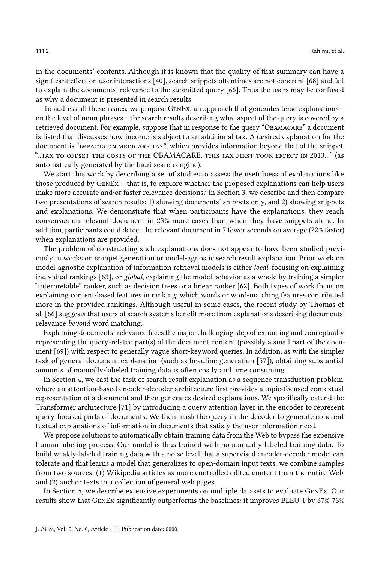in the documents' contents. Although it is known that the quality of that summary can have a significant effect on user interactions [\[40\]](#page-21-0), search snippets oftentimes are not coherent [\[68\]](#page-22-0) and fail to explain the documents' relevance to the submitted query [\[66\]](#page-22-1). Thus the users may be confused as why a document is presented in search results.

To address all these issues, we propose GenEx, an approach that generates terse explanations – on the level of noun phrases – for search results describing what aspect of the query is covered by a retrieved document. For example, suppose that in response to the query "Obamacare" a document is listed that discusses how income is subject to an additional tax. A desired explanation for the document is "IMPACTS ON MEDICARE TAX", which provides information beyond that of the snippet: "..tax to offset the costs of the OBAMACARE. this tax first took effect in 2013..." (as automatically generated by the Indri search engine).

We start this work by describing a set of studies to assess the usefulness of explanations like those produced by GenEx – that is, to explore whether the proposed explanations can help users make more accurate and/or faster relevance decisions? In Section [3,](#page-5-0) we describe and then compare two presentations of search results: 1) showing documents' snippets only, and 2) showing snippets and explanations. We demonstrate that when participants have the explanations, they reach consensus on relevant document in 23% more cases than when they have snippets alone. In addition, participants could detect the relevant document in 7 fewer seconds on average (22% faster) when explanations are provided.

The problem of constructing such explanations does not appear to have been studied previously in works on snippet generation or model-agnostic search result explanation. Prior work on model-agnostic explanation of information retrieval models is either local, focusing on explaining individual rankings [\[63\]](#page-22-2), or global, explaining the model behavior as a whole by training a simpler "interpretable" ranker, such as decision trees or a linear ranker [\[62\]](#page-22-3). Both types of work focus on explaining content-based features in ranking: which words or word-matching features contributed more in the provided rankings. Although useful in some cases, the recent study by Thomas et al. [\[66\]](#page-22-1) suggests that users of search systems benefit more from explanations describing documents' relevance beyond word matching.

Explaining documents' relevance faces the major challenging step of extracting and conceptually representing the query-related part(s) of the document content (possibly a small part of the document [\[69\]](#page-22-4)) with respect to generally vague short-keyword queries. In addition, as with the simpler task of general document explanation (such as headline generation [\[57\]](#page-22-5)), obtaining substantial amounts of manually-labeled training data is often costly and time consuming.

In Section [4,](#page-6-0) we cast the task of search result explanation as a sequence transduction problem, where an attention-based encoder-decoder architecture first provides a topic-focused contextual representation of a document and then generates desired explanations. We specifically extend the Transformer architecture [\[71\]](#page-22-6) by introducing a query attention layer in the encoder to represent query-focused parts of documents. We then mask the query in the decoder to generate coherent textual explanations of information in documents that satisfy the user information need.

We propose solutions to automatically obtain training data from the Web to bypass the expensive human labeling process. Our model is thus trained with no manually labeled training data. To build weakly-labeled training data with a noise level that a supervised encoder-decoder model can tolerate and that learns a model that generalizes to open-domain input texts, we combine samples from two sources: (1) Wikipedia articles as more controlled edited content than the entire Web, and (2) anchor texts in a collection of general web pages.

In Section [5,](#page-9-0) we describe extensive experiments on multiple datasets to evaluate GenEx. Our results show that GenEx significantly outperforms the baselines: it improves BLEU-1 by 67%-73%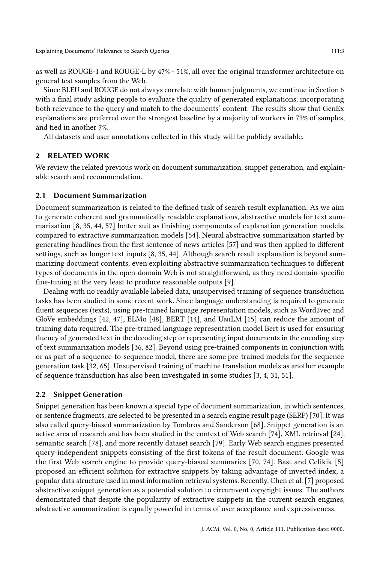as well as ROUGE-1 and ROUGE-L by 47% - 51%, all over the original transformer architecture on general test samples from the Web.

Since BLEU and ROUGE do not always correlate with human judgments, we continue in Section [6](#page-17-0) with a final study asking people to evaluate the quality of generated explanations, incorporating both relevance to the query and match to the documents' content. The results show that GenEx explanations are preferred over the strongest baseline by a majority of workers in 73% of samples, and tied in another 7%.

All datasets and user annotations collected in this study will be publicly available.

## <span id="page-2-0"></span>2 RELATED WORK

We review the related previous work on document summarization, snippet generation, and explainable search and recommendation.

# 2.1 Document Summarization

Document summarization is related to the defined task of search result explanation. As we aim to generate coherent and grammatically readable explanations, abstractive models for text summarization [\[8,](#page-20-0) [35,](#page-21-1) [44,](#page-21-2) [57\]](#page-22-5) better suit as finishing components of explanation generation models, compared to extractive summarization models [\[54\]](#page-22-7). Neural abstractive summarization started by generating headlines from the first sentence of news articles [\[57\]](#page-22-5) and was then applied to different settings, such as longer text inputs [\[8,](#page-20-0) [35,](#page-21-1) [44\]](#page-21-2). Although search result explanation is beyond summarizing document contents, even exploiting abstractive summarization techniques to different types of documents in the open-domain Web is not straightforward, as they need domain-specific fine-tuning at the very least to produce reasonable outputs [\[9\]](#page-20-1).

Dealing with no readily available labeled data, unsupervised training of sequence transduction tasks has been studied in some recent work. Since language understanding is required to generate fluent sequences (texts), using pre-trained language representation models, such as Word2vec and GloVe embeddings [\[42,](#page-21-3) [47\]](#page-21-4), ELMo [\[48\]](#page-22-8), BERT [\[14\]](#page-20-2), and UniLM [\[15\]](#page-20-3) can reduce the amount of training data required. The pre-trained language representation model Bert is used for ensuring fluency of generated text in the decoding step or representing input documents in the encoding step of text summarization models [\[36,](#page-21-5) [82\]](#page-23-1). Beyond using pre-trained components in conjunction with or as part of a sequence-to-sequence model, there are some pre-trained models for the sequence generation task [\[32,](#page-21-6) [65\]](#page-22-9). Unsupervised training of machine translation models as another example of sequence transduction has also been investigated in some studies [\[3,](#page-20-4) [4,](#page-20-5) [31,](#page-21-7) [51\]](#page-22-10).

#### 2.2 Snippet Generation

Snippet generation has been known a special type of document summarization, in which sentences, or sentence fragments, are selected to be presented in a search engine result page (SERP) [\[70\]](#page-22-11). It was also called query-biased summarization by Tombros and Sanderson [\[68\]](#page-22-0). Snippet generation is an active area of research and has been studied in the context of Web search [\[74\]](#page-23-2), XML retrieval [\[24\]](#page-21-8), semantic search [\[78\]](#page-23-3), and more recently dataset search [\[79\]](#page-23-4). Early Web search engines presented query-independent snippets consisting of the first tokens of the result document. Google was the first Web search engine to provide query-biased summaries [\[70,](#page-22-11) [74\]](#page-23-2). Bast and Celikik [\[5\]](#page-20-6) proposed an efficient solution for extractive snippets by taking advantage of inverted index, a popular data structure used in most information retrieval systems. Recently, Chen et al. [\[7\]](#page-20-7) proposed abstractive snippet generation as a potential solution to circumvent copyright issues. The authors demonstrated that despite the popularity of extractive snippets in the current search engines, abstractive summarization is equally powerful in terms of user acceptance and expressiveness.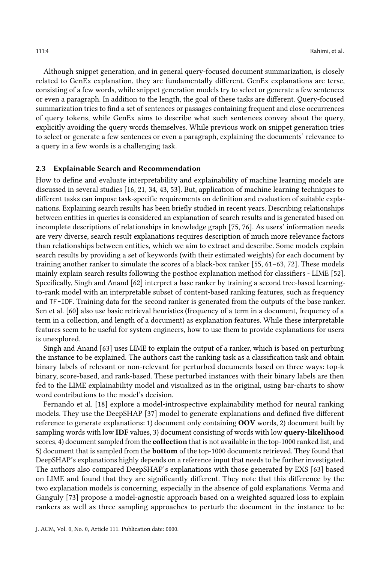Although snippet generation, and in general query-focused document summarization, is closely related to GenEx explanation, they are fundamentally different. GenEx explanations are terse, consisting of a few words, while snippet generation models try to select or generate a few sentences or even a paragraph. In addition to the length, the goal of these tasks are different. Query-focused summarization tries to find a set of sentences or passages containing frequent and close occurrences of query tokens, while GenEx aims to describe what such sentences convey about the query, explicitly avoiding the query words themselves. While previous work on snippet generation tries to select or generate a few sentences or even a paragraph, explaining the documents' relevance to a query in a few words is a challenging task.

#### 2.3 Explainable Search and Recommendation

How to define and evaluate interpretability and explainability of machine learning models are discussed in several studies [\[16,](#page-20-8) [21,](#page-20-9) [34,](#page-21-9) [43,](#page-21-10) [53\]](#page-22-12). But, application of machine learning techniques to different tasks can impose task-specific requirements on definition and evaluation of suitable explanations. Explaining search results has been briefly studied in recent years. Describing relationships between entities in queries is considered an explanation of search results and is generated based on incomplete descriptions of relationships in knowledge graph [\[75,](#page-23-5) [76\]](#page-23-6). As users' information needs are very diverse, search result explanations requires description of much more relevance factors than relationships between entities, which we aim to extract and describe. Some models explain search results by providing a set of keywords (with their estimated weights) for each document by training another ranker to simulate the scores of a black-box ranker [\[55,](#page-22-13) [61](#page-22-14)[–63,](#page-22-2) [72\]](#page-22-15). These models mainly explain search results following the posthoc explanation method for classifiers - LIME [\[52\]](#page-22-16). Specifically, Singh and Anand [\[62\]](#page-22-3) interpret a base ranker by training a second tree-based learningto-rank model with an interpretable subset of content-based ranking features, such as frequency and TF-IDF. Training data for the second ranker is generated from the outputs of the base ranker. Sen et al. [\[60\]](#page-22-17) also use basic retrieval heuristics (frequency of a term in a document, frequency of a term in a collection, and length of a document) as explanation features. While these interpretable features seem to be useful for system engineers, how to use them to provide explanations for users is unexplored.

Singh and Anand [\[63\]](#page-22-2) uses LIME to explain the output of a ranker, which is based on perturbing the instance to be explained. The authors cast the ranking task as a classification task and obtain binary labels of relevant or non-relevant for perturbed documents based on three ways: top-k binary, score-based, and rank-based. These perturbed instances with their binary labels are then fed to the LIME explainability model and visualized as in the original, using bar-charts to show word contributions to the model's decision.

Fernando et al. [\[18\]](#page-20-10) explore a model-introspective explainability method for neural ranking models. They use the DeepSHAP [\[37\]](#page-21-11) model to generate explanations and defined five different reference to generate explanations: 1) document only containing OOV words, 2) document built by sampling words with low IDF values, 3) document consisting of words with low query-likelihood scores, 4) document sampled from the **collection** that is not available in the top-1000 ranked list, and 5) document that is sampled from the bottom of the top-1000 documents retrieved. They found that DeepSHAP's explanations highly depends on a reference input that needs to be further investigated. The authors also compared DeepSHAP's explanations with those generated by EXS [\[63\]](#page-22-2) based on LIME and found that they are significantly different. They note that this difference by the two explanation models is concerning, especially in the absence of gold explanations. Verma and Ganguly [\[73\]](#page-23-7) propose a model-agnostic approach based on a weighted squared loss to explain rankers as well as three sampling approaches to perturb the document in the instance to be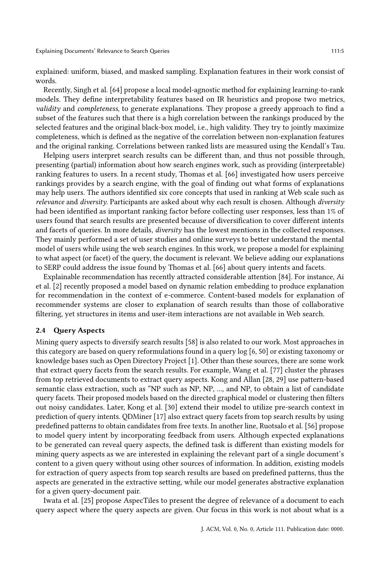explained: uniform, biased, and masked sampling. Explanation features in their work consist of words.

Recently, Singh et al. [\[64\]](#page-22-18) propose a local model-agnostic method for explaining learning-to-rank models. They define interpretability features based on IR heuristics and propose two metrics, validity and completeness, to generate explanations. They propose a greedy approach to find a subset of the features such that there is a high correlation between the rankings produced by the selected features and the original black-box model, i.e., high validity. They try to jointly maximize completeness, which is defined as the negative of the correlation between non-explanation features and the original ranking. Correlations between ranked lists are measured using the Kendall's Tau.

Helping users interpret search results can be different than, and thus not possible through, presenting (partial) information about how search engines work, such as providing (interpretable) ranking features to users. In a recent study, Thomas et al. [\[66\]](#page-22-1) investigated how users perceive rankings provides by a search engine, with the goal of finding out what forms of explanations may help users. The authors identified six core concepts that used in ranking at Web scale such as relevance and diversity. Participants are asked about why each result is chosen. Although diversity had been identified as important ranking factor before collecting user responses, less than 1% of users found that search results are presented because of diversification to cover different intents and facets of queries. In more details, diversity has the lowest mentions in the collected responses. They mainly performed a set of user studies and online surveys to better understand the mental model of users while using the web search engines. In this work, we propose a model for explaining to what aspect (or facet) of the query, the document is relevant. We believe adding our explanations to SERP could address the issue found by Thomas et al. [\[66\]](#page-22-1) about query intents and facets.

Explainable recommendation has recently attracted considerable attention [\[84\]](#page-23-8). For instance, Ai et al. [\[2\]](#page-20-11) recently proposed a model based on dynamic relation embedding to produce explanation for recommendation in the context of e-commerce. Content-based models for explanation of recommender systems are closer to explanation of search results than those of collaborative filtering, yet structures in items and user-item interactions are not available in Web search.

## 2.4 Query Aspects

Mining query aspects to diversify search results [\[58\]](#page-22-19) is also related to our work. Most approaches in this category are based on query reformulations found in a query log [\[6,](#page-20-12) [50\]](#page-22-20) or existing taxonomy or knowledge bases such as Open Directory Project [\[1\]](#page-20-13). Other than these sources, there are some work that extract query facets from the search results. For example, Wang et al. [\[77\]](#page-23-9) cluster the phrases from top retrieved documents to extract query aspects. Kong and Allan [\[28,](#page-21-12) [29\]](#page-21-13) use pattern-based semantic class extraction, such as "NP such as NP, NP, ..., and NP, to obtain a list of candidate query facets. Their proposed models based on the directed graphical model or clustering then filters out noisy candidates. Later, Kong et al. [\[30\]](#page-21-14) extend their model to utilize pre-search context in prediction of query intents. QDMiner [\[17\]](#page-20-14) also extract query facets from top search results by using predefined patterns to obtain candidates from free texts. In another line, Ruotsalo et al. [\[56\]](#page-22-21) propose to model query intent by incorporating feedback from users. Although expected explanations to be generated can reveal query aspects, the defined task is different than existing models for mining query aspects as we are interested in explaining the relevant part of a single document's content to a given query without using other sources of information. In addition, existing models for extraction of query aspects from top search results are based on predefined patterns, thus the aspects are generated in the extractive setting, while our model generates abstractive explanation for a given query-document pair.

Iwata et al. [\[25\]](#page-21-15) propose AspecTiles to present the degree of relevance of a document to each query aspect where the query aspects are given. Our focus in this work is not about what is a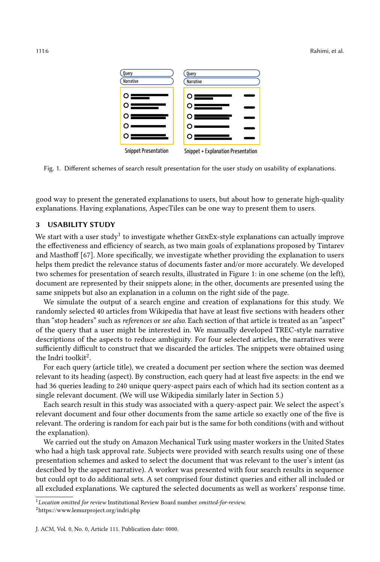<span id="page-5-2"></span>

Fig. 1. Different schemes of search result presentation for the user study on usability of explanations.

good way to present the generated explanations to users, but about how to generate high-quality explanations. Having explanations, AspecTiles can be one way to present them to users.

#### <span id="page-5-0"></span>3 USABILITY STUDY

We start with a user study<sup>[1](#page-5-1)</sup> to investigate whether GENEx-style explanations can actually improve the effectiveness and efficiency of search, as two main goals of explanations proposed by Tintarev and Masthoff [\[67\]](#page-22-22). More specifically, we investigate whether providing the explanation to users helps them predict the relevance status of documents faster and/or more accurately. We developed two schemes for presentation of search results, illustrated in Figure [1:](#page-5-2) in one scheme (on the left), document are represented by their snippets alone; in the other, documents are presented using the same snippets but also an explanation in a column on the right side of the page.

We simulate the output of a search engine and creation of explanations for this study. We randomly selected 40 articles from Wikipedia that have at least five sections with headers other than "stop headers" such as references or see also. Each section of that article is treated as an "aspect" of the query that a user might be interested in. We manually developed TREC-style narrative descriptions of the aspects to reduce ambiguity. For four selected articles, the narratives were sufficiently difficult to construct that we discarded the articles. The snippets were obtained using the Indri toolkit<sup>[2](#page-5-3)</sup>.

For each query (article title), we created a document per section where the section was deemed relevant to its heading (aspect). By construction, each query had at least five aspects: in the end we had 36 queries leading to 240 unique query-aspect pairs each of which had its section content as a single relevant document. (We will use Wikipedia similarly later in Section [5.](#page-9-0))

Each search result in this study was associated with a query-aspect pair. We select the aspect's relevant document and four other documents from the same article so exactly one of the five is relevant. The ordering is random for each pair but is the same for both conditions (with and without the explanation).

We carried out the study on Amazon Mechanical Turk using master workers in the United States who had a high task approval rate. Subjects were provided with search results using one of these presentation schemes and asked to select the document that was relevant to the user's intent (as described by the aspect narrative). A worker was presented with four search results in sequence but could opt to do additional sets. A set comprised four distinct queries and either all included or all excluded explanations. We captured the selected documents as well as workers' response time.

<span id="page-5-1"></span> $1$ Location omitted for review Institutional Review Board number omitted-for-review.

<span id="page-5-3"></span> $^{2}$ <https://www.lemurproject.org/indri.php>

J. ACM, Vol. 0, No. 0, Article 111. Publication date: 0000.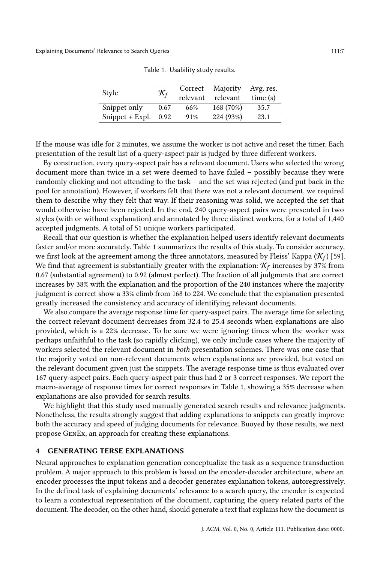<span id="page-6-1"></span>

| Style           | $\mathcal{K}_f$ | Correct<br>relevant | Majority<br>relevant | Avg. res.<br>time(s) |
|-----------------|-----------------|---------------------|----------------------|----------------------|
| Snippet only    | 0.67            | 66%                 | 168 (70%)            | 35.7                 |
| Snippet + Expl. | 0.92            | 91%                 | 224 (93%)            | 23.1                 |

Table 1. Usability study results.

If the mouse was idle for 2 minutes, we assume the worker is not active and reset the timer. Each presentation of the result list of a query-aspect pair is judged by three different workers.

By construction, every query-aspect pair has a relevant document. Users who selected the wrong document more than twice in a set were deemed to have failed – possibly because they were randomly clicking and not attending to the task – and the set was rejected (and put back in the pool for annotation). However, if workers felt that there was not a relevant document, we required them to describe why they felt that way. If their reasoning was solid, we accepted the set that would otherwise have been rejected. In the end, 240 query-aspect pairs were presented in two styles (with or without explanation) and annotated by three distinct workers, for a total of 1,440 accepted judgments. A total of 51 unique workers participated.

Recall that our question is whether the explanation helped users identify relevant documents faster and/or more accurately. Table [1](#page-6-1) summarizes the results of this study. To consider accuracy, we first look at the agreement among the three annotators, measured by Fleiss' Kappa ( $\mathcal{K}_f$ ) [\[59\]](#page-22-23). We find that agreement is substantially greater with the explanation:  $\mathcal{K}_f$  increases by 37% from 0.67 (substantial agreement) to 0.92 (almost perfect). The fraction of all judgments that are correct increases by 38% with the explanation and the proportion of the 240 instances where the majority judgment is correct show a 33% climb from 168 to 224. We conclude that the explanation presented greatly increased the consistency and accuracy of identifying relevant documents.

We also compare the average response time for query-aspect pairs. The average time for selecting the correct relevant document decreases from 32.4 to 25.4 seconds when explanations are also provided, which is a 22% decrease. To be sure we were ignoring times when the worker was perhaps unfaithful to the task (so rapidly clicking), we only include cases where the majority of workers selected the relevant document in both presentation schemes. There was one case that the majority voted on non-relevant documents when explanations are provided, but voted on the relevant document given just the snippets. The average response time is thus evaluated over 167 query-aspect pairs. Each query-aspect pair thus had 2 or 3 correct responses. We report the macro-average of response times for correct responses in Table [1,](#page-6-1) showing a 35% decrease when explanations are also provided for search results.

We highlight that this study used manually generated search results and relevance judgments. Nonetheless, the results strongly suggest that adding explanations to snippets can greatly improve both the accuracy and speed of judging documents for relevance. Buoyed by those results, we next propose GenEx, an approach for creating these explanations.

# <span id="page-6-0"></span>4 GENERATING TERSE EXPLANATIONS

Neural approaches to explanation generation conceptualize the task as a sequence transduction problem. A major approach to this problem is based on the encoder-decoder architecture, where an encoder processes the input tokens and a decoder generates explanation tokens, autoregressively. In the defined task of explaining documents' relevance to a search query, the encoder is expected to learn a contextual representation of the document, capturing the query related parts of the document. The decoder, on the other hand, should generate a text that explains how the document is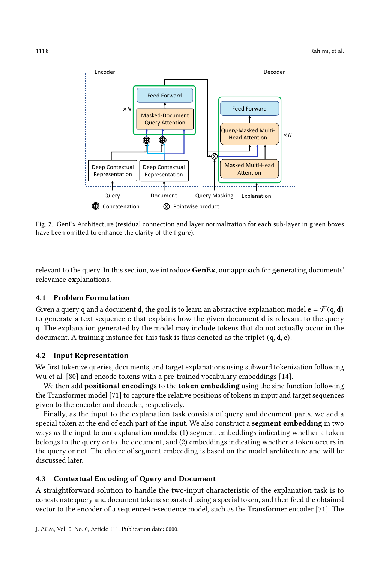<span id="page-7-0"></span>

Fig. 2. GenEx Architecture (residual connection and layer normalization for each sub-layer in green boxes have been omitted to enhance the clarity of the figure).

relevant to the query. In this section, we introduce GenEx, our approach for generating documents' relevance explanations.

#### 4.1 Problem Formulation

Given a query **q** and a document **d**, the goal is to learn an abstractive explanation model  $\mathbf{e} = \mathcal{F}(\mathbf{q}, \mathbf{d})$ to generate a text sequence e that explains how the given document d is relevant to the query q. The explanation generated by the model may include tokens that do not actually occur in the document. A training instance for this task is thus denoted as the triplet (q, d, e).

#### 4.2 Input Representation

We first tokenize queries, documents, and target explanations using subword tokenization following Wu et al. [\[80\]](#page-23-10) and encode tokens with a pre-trained vocabulary embeddings [\[14\]](#page-20-2).

We then add **positional encodings** to the **token embedding** using the sine function following the Transformer model [\[71\]](#page-22-6) to capture the relative positions of tokens in input and target sequences given to the encoder and decoder, respectively.

Finally, as the input to the explanation task consists of query and document parts, we add a special token at the end of each part of the input. We also construct a **segment embedding** in two ways as the input to our explanation models: (1) segment embeddings indicating whether a token belongs to the query or to the document, and (2) embeddings indicating whether a token occurs in the query or not. The choice of segment embedding is based on the model architecture and will be discussed later.

#### 4.3 Contextual Encoding of Query and Document

A straightforward solution to handle the two-input characteristic of the explanation task is to concatenate query and document tokens separated using a special token, and then feed the obtained vector to the encoder of a sequence-to-sequence model, such as the Transformer encoder [\[71\]](#page-22-6). The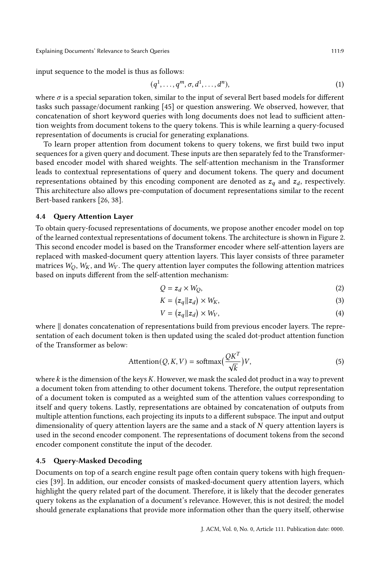Explaining Documents' Relevance to Search Queries 111:9

input sequence to the model is thus as follows:

<span id="page-8-0"></span>
$$
(q1,..., qm, \sigma, d1,..., dn),
$$
\n(1)

where  $\sigma$  is a special separation token, similar to the input of several Bert based models for different tasks such passage/document ranking [\[45\]](#page-21-16) or question answering. We observed, however, that concatenation of short keyword queries with long documents does not lead to sufficient attention weights from document tokens to the query tokens. This is while learning a query-focused representation of documents is crucial for generating explanations.

To learn proper attention from document tokens to query tokens, we first build two input sequences for a given query and document. These inputs are then separately fed to the Transformerbased encoder model with shared weights. The self-attention mechanism in the Transformer leads to contextual representations of query and document tokens. The query and document representations obtained by this encoding component are denoted as  $z_q$  and  $z_d$ , respectively. This architecture also allows pre-computation of document representations similar to the recent Bert-based rankers [\[26,](#page-21-17) [38\]](#page-21-18).

#### 4.4 Query Attention Layer

To obtain query-focused representations of documents, we propose another encoder model on top of the learned contextual representations of document tokens. The architecture is shown in Figure [2.](#page-7-0) This second encoder model is based on the Transformer encoder where self-attention layers are replaced with masked-document query attention layers. This layer consists of three parameter matrices  $W_O$ ,  $W_K$ , and  $W_V$ . The query attention layer computes the following attention matrices based on inputs different from the self-attention mechanism:

$$
Q = z_d \times W_Q,\tag{2}
$$

$$
K = (z_q || z_d) \times W_K,\tag{3}
$$

$$
V = (z_q || z_d) \times W_V, \tag{4}
$$

where ∥ donates concatenation of representations build from previous encoder layers. The representation of each document token is then updated using the scaled dot-product attention function of the Transformer as below:

$$
Attention(Q, K, V) = softmax(\frac{QK^{T}}{\sqrt{k}})V,
$$
\n(5)

where  $k$  is the dimension of the keys  $K$ . However, we mask the scaled dot product in a way to prevent a document token from attending to other document tokens. Therefore, the output representation of a document token is computed as a weighted sum of the attention values corresponding to itself and query tokens. Lastly, representations are obtained by concatenation of outputs from multiple attention functions, each projecting its inputs to a different subspace. The input and output dimensionality of query attention layers are the same and a stack of  $N$  query attention layers is used in the second encoder component. The representations of document tokens from the second encoder component constitute the input of the decoder.

## 4.5 Query-Masked Decoding

Documents on top of a search engine result page often contain query tokens with high frequencies [\[39\]](#page-21-19). In addition, our encoder consists of masked-document query attention layers, which highlight the query related part of the document. Therefore, it is likely that the decoder generates query tokens as the explanation of a document's relevance. However, this is not desired; the model should generate explanations that provide more information other than the query itself, otherwise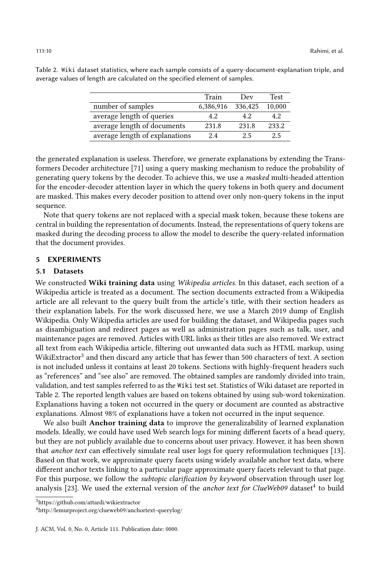|                                | Train     | Dev     | <b>Test</b> |
|--------------------------------|-----------|---------|-------------|
| number of samples              | 6,386,916 | 336,425 | 10.000      |
| average length of queries      | 4.2       | 42      | 42          |
| average length of documents    | 231.8     | 231.8   | 233.2       |
| average length of explanations | 2.4       | 2.5     | 2.5         |

<span id="page-9-2"></span>Table 2. Wiki dataset statistics, where each sample consists of a query-document-explanation triple, and average values of length are calculated on the specified element of samples.

the generated explanation is useless. Therefore, we generate explanations by extending the Transformers Decoder architecture [\[71\]](#page-22-6) using a query masking mechanism to reduce the probability of generating query tokens by the decoder. To achieve this, we use a masked multi-headed attention for the encoder-decoder attention layer in which the query tokens in both query and document are masked. This makes every decoder position to attend over only non-query tokens in the input sequence.

Note that query tokens are not replaced with a special mask token, because these tokens are central in building the representation of documents. Instead, the representations of query tokens are masked during the decoding process to allow the model to describe the query-related information that the document provides.

#### <span id="page-9-0"></span>5 EXPERIMENTS

#### 5.1 Datasets

We constructed Wiki training data using Wikipedia articles. In this dataset, each section of a Wikipedia article is treated as a document. The section documents extracted from a Wikipedia article are all relevant to the query built from the article's title, with their section headers as their explanation labels. For the work discussed here, we use a March 2019 dump of English Wikipedia. Only Wikipedia articles are used for building the dataset, and Wikipedia pages such as disambiguation and redirect pages as well as administration pages such as talk, user, and maintenance pages are removed. Articles with URL links as their titles are also removed. We extract all text from each Wikipedia article, filtering out unwanted data such as HTML markup, using WikiExtractor<sup>[3](#page-9-1)</sup> and then discard any article that has fewer than 500 characters of text. A section is not included unless it contains at least 20 tokens. Sections with highly-frequent headers such as "references" and "see also" are removed. The obtained samples are randomly divided into train, validation, and test samples referred to as the Wiki test set. Statistics of Wiki dataset are reported in Table [2.](#page-9-2) The reported length values are based on tokens obtained by using sub-word tokenization. Explanations having a token not occurred in the query or document are counted as abstractive explanations. Almost 98% of explanations have a token not occurred in the input sequence.

We also built **Anchor training data** to improve the generalizability of learned explanation models. Ideally, we could have used Web search logs for mining different facets of a head query, but they are not publicly available due to concerns about user privacy. However, it has been shown that anchor text can effectively simulate real user logs for query reformulation techniques [\[13\]](#page-20-15). Based on that work, we approximate query facets using widely available anchor text data, where different anchor texts linking to a particular page approximate query facets relevant to that page. For this purpose, we follow the *subtopic clarification by keyword* observation through user log analysis [\[23\]](#page-20-16). We used the external version of the *anchor text for ClueWeb09* dataset<sup>[4](#page-9-3)</sup> to build

<span id="page-9-1"></span><sup>3</sup><https://github.com/attardi/wikiextractor>

<span id="page-9-3"></span><sup>4</sup><http://lemurproject.org/clueweb09/anchortext-querylog/>

J. ACM, Vol. 0, No. 0, Article 111. Publication date: 0000.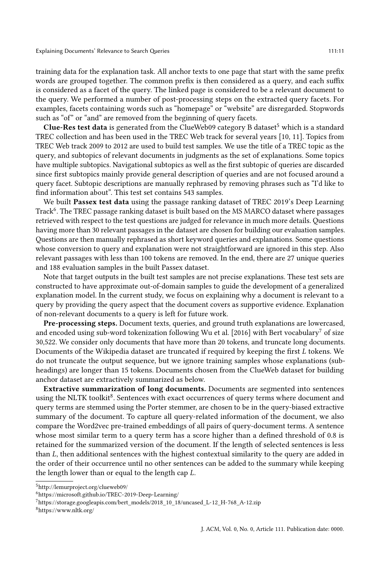training data for the explanation task. All anchor texts to one page that start with the same prefix words are grouped together. The common prefix is then considered as a query, and each suffix is considered as a facet of the query. The linked page is considered to be a relevant document to the query. We performed a number of post-processing steps on the extracted query facets. For examples, facets containing words such as "homepage" or "website" are disregarded. Stopwords such as "of" or "and" are removed from the beginning of query facets.

Clue-Res test data is generated from the ClueWeb09 category B dataset<sup>[5](#page-10-0)</sup> which is a standard TREC collection and has been used in the TREC Web track for several years [\[10,](#page-20-17) [11\]](#page-20-18). Topics from TREC Web track 2009 to 2012 are used to build test samples. We use the title of a TREC topic as the query, and subtopics of relevant documents in judgments as the set of explanations. Some topics have multiple subtopics. Navigational subtopics as well as the first subtopic of queries are discarded since first subtopics mainly provide general description of queries and are not focused around a query facet. Subtopic descriptions are manually rephrased by removing phrases such as "I'd like to find information about". This test set contains 543 samples.

We built Passex test data using the passage ranking dataset of TREC 2019's Deep Learning Track<sup>[6](#page-10-1)</sup>. The TREC passage ranking dataset is built based on the MS MARCO dataset where passages retrieved with respect to the test questions are judged for relevance in much more details. Questions having more than 30 relevant passages in the dataset are chosen for building our evaluation samples. Questions are then manually rephrased as short keyword queries and explanations. Some questions whose conversion to query and explanation were not straightforward are ignored in this step. Also relevant passages with less than 100 tokens are removed. In the end, there are 27 unique queries and 188 evaluation samples in the built Passex dataset.

Note that target outputs in the built test samples are not precise explanations. These test sets are constructed to have approximate out-of-domain samples to guide the development of a generalized explanation model. In the current study, we focus on explaining why a document is relevant to a query by providing the query aspect that the document covers as supportive evidence. Explanation of non-relevant documents to a query is left for future work.

Pre-processing steps. Document texts, queries, and ground truth explanations are lowercased, and encoded using sub-word tokenization following Wu et al. [\[2016\]](#page-23-10) with Bert vocabulary<sup>[7](#page-10-2)</sup> of size 30,522. We consider only documents that have more than 20 tokens, and truncate long documents. Documents of the Wikipedia dataset are truncated if required by keeping the first  $L$  tokens. We do not truncate the output sequence, but we ignore training samples whose explanations (subheadings) are longer than 15 tokens. Documents chosen from the ClueWeb dataset for building anchor dataset are extractively summarized as below.

Extractive summarization of long documents. Documents are segmented into sentences using the NLTK toolkit<sup>[8](#page-10-3)</sup>. Sentences with exact occurrences of query terms where document and query terms are stemmed using the Porter stemmer, are chosen to be in the query-biased extractive summary of the document. To capture all query-related information of the document, we also compare the Word2vec pre-trained embeddings of all pairs of query-document terms. A sentence whose most similar term to a query term has a score higher than a defined threshold of 0.8 is retained for the summarized version of the document. If the length of selected sentences is less than  $L$ , then additional sentences with the highest contextual similarity to the query are added in the order of their occurrence until no other sentences can be added to the summary while keeping the length lower than or equal to the length cap  $L$ .

<span id="page-10-0"></span><sup>5</sup><http://lemurproject.org/clueweb09/>

<span id="page-10-1"></span><sup>6</sup><https://microsoft.github.io/TREC-2019-Deep-Learning/>

<span id="page-10-2"></span><sup>7</sup>[https://storage.googleapis.com/bert\\_models/2018\\_10\\_18/uncased\\_L-12\\_H-768\\_A-12.zip](https://storage.googleapis.com/bert_models/2018_10_18/uncased_L-12_H-768_A-12.zip)

<span id="page-10-3"></span><sup>8</sup><https://www.nltk.org/>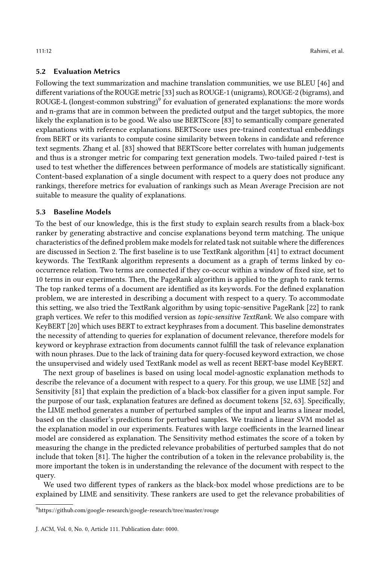# 5.2 Evaluation Metrics

Following the text summarization and machine translation communities, we use BLEU [\[46\]](#page-21-20) and different variations of the ROUGE metric [\[33\]](#page-21-21) such as ROUGE-1 (unigrams), ROUGE-2 (bigrams), and ROUGE-L (longest-common substring) $^9$  $^9$  for evaluation of generated explanations: the more words and n-grams that are in common between the predicted output and the target subtopics, the more likely the explanation is to be good. We also use BERTScore [\[83\]](#page-23-11) to semantically compare generated explanations with reference explanations. BERTScore uses pre-trained contextual embeddings from BERT or its variants to compute cosine similarity between tokens in candidate and reference text segments. Zhang et al. [\[83\]](#page-23-11) showed that BERTScore better correlates with human judgements and thus is a stronger metric for comparing text generation models. Two-tailed paired t-test is used to test whether the differences between performance of models are statistically significant. Content-based explanation of a single document with respect to a query does not produce any rankings, therefore metrics for evaluation of rankings such as Mean Average Precision are not suitable to measure the quality of explanations.

## 5.3 Baseline Models

To the best of our knowledge, this is the first study to explain search results from a black-box ranker by generating abstractive and concise explanations beyond term matching. The unique characteristics of the defined problem make models for related task not suitable where the differences are discussed in Section [2.](#page-2-0) The first baseline is to use TextRank algorithm [\[41\]](#page-21-22) to extract document keywords. The TextRank algorithm represents a document as a graph of terms linked by cooccurrence relation. Two terms are connected if they co-occur within a window of fixed size, set to 10 terms in our experiments. Then, the PageRank algorithm is applied to the graph to rank terms. The top ranked terms of a document are identified as its keywords. For the defined explanation problem, we are interested in describing a document with respect to a query. To accommodate this setting, we also tried the TextRank algorithm by using topic-sensitive PageRank [\[22\]](#page-20-19) to rank graph vertices. We refer to this modified version as topic-sensitive TextRank. We also compare with KeyBERT [\[20\]](#page-20-20) which uses BERT to extract keyphrases from a document. This baseline demonstrates the necessity of attending to queries for explanation of document relevance, therefore models for keyword or keyphrase extraction from documents cannot fulfill the task of relevance explanation with noun phrases. Due to the lack of training data for query-focused keyword extraction, we chose the unsupervised and widely used TextRank model as well as recent BERT-base model KeyBERT.

The next group of baselines is based on using local model-agnostic explanation methods to describe the relevance of a document with respect to a query. For this group, we use LIME [\[52\]](#page-22-16) and Sensitivity [\[81\]](#page-23-12) that explain the prediction of a black-box classifier for a given input sample. For the purpose of our task, explanation features are defined as document tokens [\[52,](#page-22-16) [63\]](#page-22-2). Specifically, the LIME method generates a number of perturbed samples of the input and learns a linear model, based on the classifier's predictions for perturbed samples. We trained a linear SVM model as the explanation model in our experiments. Features with large coefficients in the learned linear model are considered as explanation. The Sensitivity method estimates the score of a token by measuring the change in the predicted relevance probabilities of perturbed samples that do not include that token [\[81\]](#page-23-12). The higher the contribution of a token in the relevance probability is, the more important the token is in understanding the relevance of the document with respect to the query.

We used two different types of rankers as the black-box model whose predictions are to be explained by LIME and sensitivity. These rankers are used to get the relevance probabilities of

<span id="page-11-0"></span> $^9$ <https://github.com/google-research/google-research/tree/master/rouge>

J. ACM, Vol. 0, No. 0, Article 111. Publication date: 0000.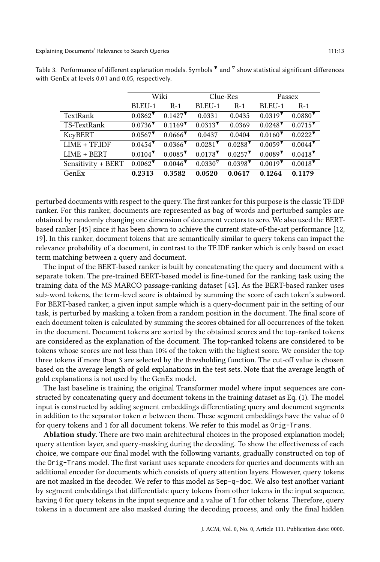|                    | Wiki                                     |                       |                                                | Clue-Res              |                                                | Passex                                         |  |
|--------------------|------------------------------------------|-----------------------|------------------------------------------------|-----------------------|------------------------------------------------|------------------------------------------------|--|
|                    | BLEU-1                                   | $R-1$                 | BLEU-1                                         | $R-1$                 | BLEU-1                                         | $R-1$                                          |  |
| TextRank           | $0.0862$ <sup><math>\bullet</math></sup> | $0.1427$ <sup>V</sup> | 0.0331                                         | 0.0435                | $0.0319$ <sup>V</sup>                          | $0.0880$ <sup><math>\triangledown</math></sup> |  |
| TS-TextRank        | $0.0736$ <sup>V</sup>                    | $0.1169$ <sup>V</sup> | $0.0313$ <sup>V</sup>                          | 0.0369                | $0.0248$ <sup>V</sup>                          | $0.0715$ <sup>V</sup>                          |  |
| KeyBERT            | $0.0567$ <sup>V</sup>                    | $0.0666$ <sup>V</sup> | 0.0437                                         | 0.0404                | $0.0160$ <sup><math>\triangledown</math></sup> | $0.0222$ <sup>V</sup>                          |  |
| $LIME + TFLIDF$    | $0.0454$ <sup>V</sup>                    | $0.0366$ <sup>V</sup> | $0.0281$ <sup>V</sup>                          | $0.0288$ <sup>V</sup> | $0.0059$ <sup>V</sup>                          | $0.0044$ <sup>V</sup>                          |  |
| $LIME + BERT$      | $0.0104$ <sup>V</sup>                    | $0.0085$ <sup>V</sup> | $0.0178$ <sup>V</sup>                          | $0.0257$ <sup>V</sup> | $0.0089$ <sup>V</sup>                          | $0.0418$ <sup>V</sup>                          |  |
| Sensitivity + BERT | $0.0062$ <sup>V</sup>                    | $0.0046$ <sup>V</sup> | $0.0330$ <sup><math>\triangledown</math></sup> | $0.0398$ <sup>V</sup> | $0.0019$ <sup>V</sup>                          | $0.0018$ <sup>V</sup>                          |  |
| GenEx              | 0.2313                                   | 0.3582                | 0.0520                                         | 0.0617                | 0.1264                                         | 0.1179                                         |  |

<span id="page-12-0"></span>Table 3. Performance of different explanation models. Symbols  $\blacktriangledown$  and  $\triangledown$  show statistical significant differences with GenEx at levels 0.01 and 0.05, respectively.

perturbed documents with respect to the query. The first ranker for this purpose is the classic TF.IDF ranker. For this ranker, documents are represented as bag of words and perturbed samples are obtained by randomly changing one dimension of document vectors to zero. We also used the BERTbased ranker [\[45\]](#page-21-16) since it has been shown to achieve the current state-of-the-art performance [\[12,](#page-20-21) [19\]](#page-20-22). In this ranker, document tokens that are semantically similar to query tokens can impact the relevance probability of a document, in contrast to the TF.IDF ranker which is only based on exact term matching between a query and document.

The input of the BERT-based ranker is built by concatenating the query and document with a separate token. The pre-trained BERT-based model is fine-tuned for the ranking task using the training data of the MS MARCO passage-ranking dataset [\[45\]](#page-21-16). As the BERT-based ranker uses sub-word tokens, the term-level score is obtained by summing the score of each token's subword. For BERT-based ranker, a given input sample which is a query-document pair in the setting of our task, is perturbed by masking a token from a random position in the document. The final score of each document token is calculated by summing the scores obtained for all occurrences of the token in the document. Document tokens are sorted by the obtained scores and the top-ranked tokens are considered as the explanation of the document. The top-ranked tokens are considered to be tokens whose scores are not less than 10% of the token with the highest score. We consider the top three tokens if more than 3 are selected by the thresholding function. The cut-off value is chosen based on the average length of gold explanations in the test sets. Note that the average length of gold explanations is not used by the GenEx model.

The last baseline is training the original Transformer model where input sequences are constructed by concatenating query and document tokens in the training dataset as Eq. [\(1\)](#page-8-0). The model input is constructed by adding segment embeddings differentiating query and document segments in addition to the separator token  $\sigma$  between them. These segment embeddings have the value of 0 for query tokens and 1 for all document tokens. We refer to this model as Orig-Trans.

Ablation study. There are two main architectural choices in the proposed explanation model; query attention layer, and query-masking during the decoding. To show the effectiveness of each choice, we compare our final model with the following variants, gradually constructed on top of the Orig-Trans model. The first variant uses separate encoders for queries and documents with an additional encoder for documents which consists of query attention layers. However, query tokens are not masked in the decoder. We refer to this model as Sep-q-doc. We also test another variant by segment embeddings that differentiate query tokens from other tokens in the input sequence, having 0 for query tokens in the input sequence and a value of 1 for other tokens. Therefore, query tokens in a document are also masked during the decoding process, and only the final hidden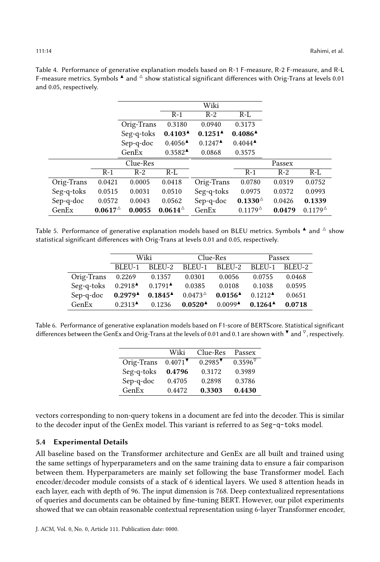|            |                  |            |                                            | Wiki                                |                      |        |                      |
|------------|------------------|------------|--------------------------------------------|-------------------------------------|----------------------|--------|----------------------|
|            |                  |            | $R-1$                                      | $R-2$                               | $R-L$                |        |                      |
|            |                  | Orig-Trans | 0.3180                                     | 0.0940                              | 0.3173               |        |                      |
|            |                  | Seg-q-toks | 0.4103 <sup>4</sup>                        | $0.1251^{\textstyle\blacktriangle}$ | $0.4086^{\AA}$       |        |                      |
|            |                  | Sep-q-doc  | $0.4056^{\textstyle \triangle}\$           | $0.1247^{\textstyle \triangle}$     | $0.4044^{\triangle}$ |        |                      |
|            |                  | GenEx      | $0.3582$ <sup><math>\triangle</math></sup> | 0.0868                              | 0.3575               |        |                      |
|            |                  | Clue-Res   |                                            |                                     |                      | Passex |                      |
|            | $R-1$            | $R-2$      | $R-L$                                      |                                     | $R-1$                | $R-2$  | $R-L$                |
| Orig-Trans | 0.0421           | 0.0005     | 0.0418                                     | Orig-Trans                          | 0.0780               | 0.0319 | 0.0752               |
| Seg-q-toks | 0.0515           | 0.0031     | 0.0510                                     | Seg-q-toks                          | 0.0975               | 0.0372 | 0.0993               |
| Sep-q-doc  | 0.0572           | 0.0043     | 0.0562                                     | Sep-q-doc                           | $0.1330^{\circ}$     | 0.0426 | 0.1339               |
| GenEx      | $0.0617^{\circ}$ | 0.0055     | $0.0614^{\triangle}$                       | GenEx                               | $0.1179^{\triangle}$ | 0.0479 | $0.1179^{\triangle}$ |

<span id="page-13-0"></span>Table 4. Performance of generative explanation models based on R-1 F-measure, R-2 F-measure, and R-L F-measure metrics. Symbols  $\triangleq$  and  $\triangleq$  show statistical significant differences with Orig-Trans at levels 0.01 and 0.05, respectively.

<span id="page-13-1"></span>Table 5. Performance of generative explanation models based on BLEU metrics. Symbols  $\triangle$  and  $\triangle$  show statistical significant differences with Orig-Trans at levels 0.01 and 0.05, respectively.

|            | Wiki                            |                                     |                      | Clue-Res                        | Passex                                     |        |
|------------|---------------------------------|-------------------------------------|----------------------|---------------------------------|--------------------------------------------|--------|
|            | BLEU-1                          | BLEU-2                              |                      | BLEU-1 BLEU-2                   | BLEU-1                                     | BLEU-2 |
| Orig-Trans | 0.2269                          | 0.1357                              | 0.0301               | 0.0056                          | 0.0755                                     | 0.0468 |
| Seg-q-toks | $0.2918^{\triangle}$            | $0.1791^{\textstyle \triangle}$     | 0.0385               | 0.0108                          | 0.1038                                     | 0.0595 |
| Sep-q-doc  | $0.2979^{\AA}$                  | $0.1845^{\textstyle\blacktriangle}$ | $0.0473^{\triangle}$ | $0.0156^{\textstyle \triangle}$ | $0.1212$ <sup><math>\triangle</math></sup> | 0.0651 |
| GenEx      | $0.2313^{\textstyle \triangle}$ | 0.1236                              | $0.0520^{\AA}$       | $0.0099^{\textstyle \triangle}$ | $0.1264^{\AA}$                             | 0.0718 |

<span id="page-13-2"></span>Table 6. Performance of generative explanation models based on F1-score of BERTScore. Statistical significant differences between the GenEx and Orig-Trans at the levels of 0.01 and 0.1 are shown with  $\blacktriangledown$  and  $\triangledown$ , respectively.

|            | Wiki                  | Clue-Res              | Passex            |
|------------|-----------------------|-----------------------|-------------------|
| Orig-Trans | $0.4071$ <sup>V</sup> | $0.2985$ <sup>V</sup> | $0.3596^{\nabla}$ |
| Seg-q-toks | 0.4796                | 0.3172                | 0.3989            |
| Sep-q-doc  | 0.4705                | 0.2898                | 0.3786            |
| GenEx      | 0.4472                | 0.3303                | 0.4430            |

vectors corresponding to non-query tokens in a document are fed into the decoder. This is similar to the decoder input of the GenEx model. This variant is referred to as Seg-q-toks model.

#### 5.4 Experimental Details

All baseline based on the Transformer architecture and GenEx are all built and trained using the same settings of hyperparameters and on the same training data to ensure a fair comparison between them. Hyperparameters are mainly set following the base Transformer model. Each encoder/decoder module consists of a stack of 6 identical layers. We used 8 attention heads in each layer, each with depth of 96. The input dimension is 768. Deep contextualized representations of queries and documents can be obtained by fine-tuning BERT. However, our pilot experiments showed that we can obtain reasonable contextual representation using 6-layer Transformer encoder,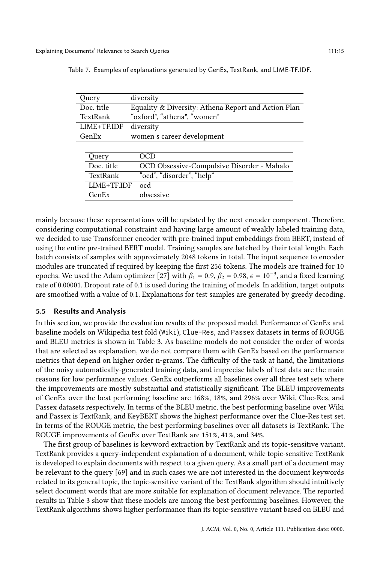| Query         | diversity                                           |
|---------------|-----------------------------------------------------|
| Doc. title    | Equality & Diversity: Athena Report and Action Plan |
| TextRank      | "oxford", "athena", "women"                         |
| $LIME+TF.IDF$ | diversity                                           |
| GenEx         | women s career development                          |
|               |                                                     |
| Query         | NGD                                                 |
| Doc. title    | OCD Obsessive-Compulsive Disorder - Mahalo          |
| TextRank      | "ocd", "disorder", "help"                           |
| LIME+TF.IDF   | ocd                                                 |
| GenEx         | obsessive                                           |

<span id="page-14-0"></span>Table 7. Examples of explanations generated by GenEx, TextRank, and LIME-TF.IDF.

mainly because these representations will be updated by the next encoder component. Therefore, considering computational constraint and having large amount of weakly labeled training data, we decided to use Transformer encoder with pre-trained input embeddings from BERT, instead of using the entire pre-trained BERT model. Training samples are batched by their total length. Each batch consists of samples with approximately 2048 tokens in total. The input sequence to encoder modules are truncated if required by keeping the first 256 tokens. The models are trained for 10 epochs. We used the Adam optimizer [\[27\]](#page-21-23) with  $\beta_1 = 0.9$ ,  $\beta_2 = 0.98$ ,  $\epsilon = 10^{-9}$ , and a fixed learning rate of 0.00001. Dropout rate of 0.1 is used during the training of models. In addition, target outputs are smoothed with a value of 0.1. Explanations for test samples are generated by greedy decoding.

#### 5.5 Results and Analysis

In this section, we provide the evaluation results of the proposed model. Performance of GenEx and baseline models on Wikipedia test fold (Wiki), Clue-Res, and Passex datasets in terms of ROUGE and BLEU metrics is shown in Table [3.](#page-12-0) As baseline models do not consider the order of words that are selected as explanation, we do not compare them with GenEx based on the performance metrics that depend on higher order n-grams. The difficulty of the task at hand, the limitations of the noisy automatically-generated training data, and imprecise labels of test data are the main reasons for low performance values. GenEx outperforms all baselines over all three test sets where the improvements are mostly substantial and statistically significant. The BLEU improvements of GenEx over the best performing baseline are 168%, 18%, and 296% over Wiki, Clue-Res, and Passex datasets respectively. In terms of the BLEU metric, the best performing baseline over Wiki and Passex is TextRank, and KeyBERT shows the highest performance over the Clue-Res test set. In terms of the ROUGE metric, the best performing baselines over all datasets is TextRank. The ROUGE improvements of GenEx over TextRank are 151%, 41%, and 34%.

The first group of baselines is keyword extraction by TextRank and its topic-sensitive variant. TextRank provides a query-independent explanation of a document, while topic-sensitive TextRank is developed to explain documents with respect to a given query. As a small part of a document may be relevant to the query [\[69\]](#page-22-4) and in such cases we are not interested in the document keywords related to its general topic, the topic-sensitive variant of the TextRank algorithm should intuitively select document words that are more suitable for explanation of document relevance. The reported results in Table [3](#page-12-0) show that these models are among the best performing baselines. However, the TextRank algorithms shows higher performance than its topic-sensitive variant based on BLEU and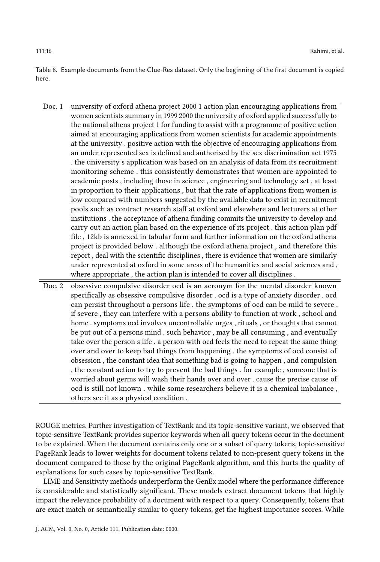<span id="page-15-0"></span>Table 8. Example documents from the Clue-Res dataset. Only the beginning of the first document is copied here.

- Doc. 1 university of oxford athena project 2000 1 action plan encouraging applications from women scientists summary in 1999 2000 the university of oxford applied successfully to the national athena project 1 for funding to assist with a programme of positive action aimed at encouraging applications from women scientists for academic appointments at the university . positive action with the objective of encouraging applications from an under represented sex is defined and authorised by the sex discrimination act 1975 . the university s application was based on an analysis of data from its recruitment monitoring scheme . this consistently demonstrates that women are appointed to academic posts , including those in science , engineering and technology set , at least in proportion to their applications , but that the rate of applications from women is low compared with numbers suggested by the available data to exist in recruitment pools such as contract research staff at oxford and elsewhere and lecturers at other institutions . the acceptance of athena funding commits the university to develop and carry out an action plan based on the experience of its project . this action plan pdf file , 12kb is annexed in tabular form and further information on the oxford athena project is provided below . although the oxford athena project , and therefore this report , deal with the scientific disciplines , there is evidence that women are similarly under represented at oxford in some areas of the humanities and social sciences and , where appropriate , the action plan is intended to cover all disciplines .
- Doc. 2 obsessive compulsive disorder ocd is an acronym for the mental disorder known specifically as obsessive compulsive disorder . ocd is a type of anxiety disorder . ocd can persist throughout a persons life . the symptoms of ocd can be mild to severe . if severe , they can interfere with a persons ability to function at work , school and home . symptoms ocd involves uncontrollable urges , rituals , or thoughts that cannot be put out of a persons mind . such behavior , may be all consuming , and eventually take over the person s life . a person with ocd feels the need to repeat the same thing over and over to keep bad things from happening . the symptoms of ocd consist of obsession , the constant idea that something bad is going to happen , and compulsion , the constant action to try to prevent the bad things . for example , someone that is worried about germs will wash their hands over and over . cause the precise cause of ocd is still not known . while some researchers believe it is a chemical imbalance , others see it as a physical condition .

ROUGE metrics. Further investigation of TextRank and its topic-sensitive variant, we observed that topic-sensitive TextRank provides superior keywords when all query tokens occur in the document to be explained. When the document contains only one or a subset of query tokens, topic-sensitive PageRank leads to lower weights for document tokens related to non-present query tokens in the document compared to those by the original PageRank algorithm, and this hurts the quality of explanations for such cases by topic-sensitive TextRank.

LIME and Sensitivity methods underperform the GenEx model where the performance difference is considerable and statistically significant. These models extract document tokens that highly impact the relevance probability of a document with respect to a query. Consequently, tokens that are exact match or semantically similar to query tokens, get the highest importance scores. While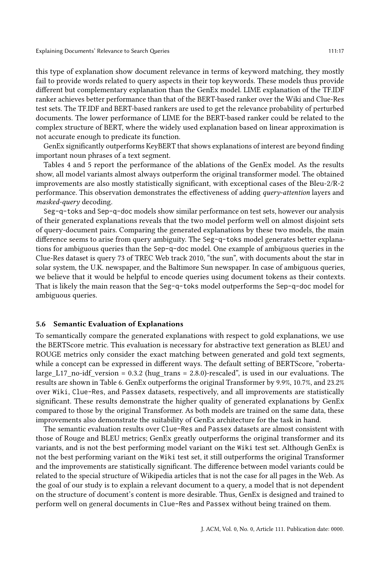this type of explanation show document relevance in terms of keyword matching, they mostly fail to provide words related to query aspects in their top keywords. These models thus provide different but complementary explanation than the GenEx model. LIME explanation of the TF.IDF ranker achieves better performance than that of the BERT-based ranker over the Wiki and Clue-Res test sets. The TF.IDF and BERT-based rankers are used to get the relevance probability of perturbed documents. The lower performance of LIME for the BERT-based ranker could be related to the complex structure of BERT, where the widely used explanation based on linear approximation is not accurate enough to predicate its function.

GenEx significantly outperforms KeyBERT that shows explanations of interest are beyond finding important noun phrases of a text segment.

Tables [4](#page-13-0) and [5](#page-13-1) report the performance of the ablations of the GenEx model. As the results show, all model variants almost always outperform the original transformer model. The obtained improvements are also mostly statistically significant, with exceptional cases of the Bleu-2/R-2 performance. This observation demonstrates the effectiveness of adding query-attention layers and masked-query decoding.

Seg-q-toks and Sep-q-doc models show similar performance on test sets, however our analysis of their generated explanations reveals that the two model perform well on almost disjoint sets of query-document pairs. Comparing the generated explanations by these two models, the main difference seems to arise from query ambiguity. The Seg-q-toks model generates better explanations for ambiguous queries than the Sep-q-doc model. One example of ambiguous queries in the Clue-Res dataset is query 73 of TREC Web track 2010, "the sun", with documents about the star in solar system, the U.K. newspaper, and the Baltimore Sun newspaper. In case of ambiguous queries, we believe that it would be helpful to encode queries using document tokens as their contexts. That is likely the main reason that the Seg-q-toks model outperforms the Sep-q-doc model for ambiguous queries.

#### 5.6 Semantic Evaluation of Explanations

To semantically compare the generated explanations with respect to gold explanations, we use the BERTScore metric. This evaluation is necessary for abstractive text generation as BLEU and ROUGE metrics only consider the exact matching between generated and gold text segments, while a concept can be expressed in different ways. The default setting of BERTScore, "robertalarge\_L17\_no-idf\_version = 0.3.2 (hug\_trans = 2.8.0)-rescaled", is used in our evaluations. The results are shown in Table [6.](#page-13-2) GenEx outperforms the original Transformer by 9.9%, 10.7%, and 23.2% over Wiki, Clue-Res, and Passex datasets, respectively, and all improvements are statistically significant. These results demonstrate the higher quality of generated explanations by GenEx compared to those by the original Transformer. As both models are trained on the same data, these improvements also demonstrate the suitability of GenEx architecture for the task in hand.

The semantic evaluation results over Clue-Res and Passex datasets are almost consistent with those of Rouge and BLEU metrics; GenEx greatly outperforms the original transformer and its variants, and is not the best performing model variant on the Wiki test set. Although GenEx is not the best performing variant on the Wiki test set, it still outperforms the original Transformer and the improvements are statistically significant. The difference between model variants could be related to the special structure of Wikipedia articles that is not the case for all pages in the Web. As the goal of our study is to explain a relevant document to a query, a model that is not dependent on the structure of document's content is more desirable. Thus, GenEx is designed and trained to perform well on general documents in Clue-Res and Passex without being trained on them.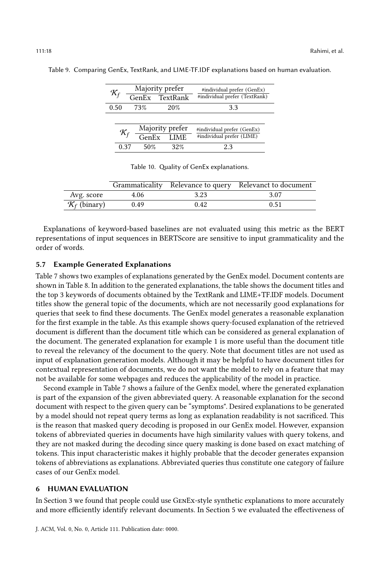| $\mathcal{K}_f$ |             | Majority prefer               | #individual prefer (GenEx)    |
|-----------------|-------------|-------------------------------|-------------------------------|
|                 |             | GenEx TextRank                | #individual prefer (TextRank) |
| 0.50            | 73%         | 20%                           | 33                            |
|                 |             |                               |                               |
| $\mathcal{K}_f$ |             | Majority prefer<br>GenEx LIME | #individual prefer (GenEx)    |
|                 |             |                               | #individual prefer (LIME)     |
|                 | 50%<br>0.37 | 32%                           | 23                            |

<span id="page-17-1"></span>Table 9. Comparing GenEx, TextRank, and LIME-TF.IDF explanations based on human evaluation.

| Table 10. Quality of GenEx explanations. |  |  |  |  |
|------------------------------------------|--|--|--|--|
|------------------------------------------|--|--|--|--|

<span id="page-17-2"></span>

|                          |      |      | Grammaticality Relevance to query Relevanct to document |
|--------------------------|------|------|---------------------------------------------------------|
| Avg. score               | 4.06 | 3.23 | 3.07                                                    |
| $\mathcal{K}_f$ (binary) | 0.49 | 0.42 | 0.51                                                    |

Explanations of keyword-based baselines are not evaluated using this metric as the BERT representations of input sequences in BERTScore are sensitive to input grammaticality and the order of words.

#### 5.7 Example Generated Explanations

Table [7](#page-14-0) shows two examples of explanations generated by the GenEx model. Document contents are shown in Table [8.](#page-15-0) In addition to the generated explanations, the table shows the document titles and the top 3 keywords of documents obtained by the TextRank and LIME+TF.IDF models. Document titles show the general topic of the documents, which are not necessarily good explanations for queries that seek to find these documents. The GenEx model generates a reasonable explanation for the first example in the table. As this example shows query-focused explanation of the retrieved document is different than the document title which can be considered as general explanation of the document. The generated explanation for example 1 is more useful than the document title to reveal the relevancy of the document to the query. Note that document titles are not used as input of explanation generation models. Although it may be helpful to have document titles for contextual representation of documents, we do not want the model to rely on a feature that may not be available for some webpages and reduces the applicability of the model in practice.

Second example in Table [7](#page-14-0) shows a failure of the GenEx model, where the generated explanation is part of the expansion of the given abbreviated query. A reasonable explanation for the second document with respect to the given query can be "symptoms". Desired explanations to be generated by a model should not repeat query terms as long as explanation readability is not sacrificed. This is the reason that masked query decoding is proposed in our GenEx model. However, expansion tokens of abbreviated queries in documents have high similarity values with query tokens, and they are not masked during the decoding since query masking is done based on exact matching of tokens. This input characteristic makes it highly probable that the decoder generates expansion tokens of abbreviations as explanations. Abbreviated queries thus constitute one category of failure cases of our GenEx model.

# <span id="page-17-0"></span>6 HUMAN EVALUATION

In Section [3](#page-5-0) we found that people could use GENEX-style synthetic explanations to more accurately and more efficiently identify relevant documents. In Section [5](#page-9-0) we evaluated the effectiveness of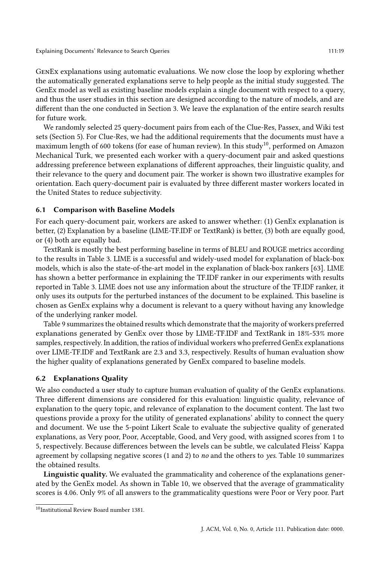Explaining Documents' Relevance to Search Queries 111:19 11:19

GenEx explanations using automatic evaluations. We now close the loop by exploring whether the automatically generated explanations serve to help people as the initial study suggested. The GenEx model as well as existing baseline models explain a single document with respect to a query, and thus the user studies in this section are designed according to the nature of models, and are different than the one conducted in Section [3.](#page-5-0) We leave the explanation of the entire search results for future work.

We randomly selected 25 query-document pairs from each of the Clue-Res, Passex, and Wiki test sets (Section [5\)](#page-9-0). For Clue-Res, we had the additional requirements that the documents must have a maximum length of 600 tokens (for ease of human review). In this study<sup>[10](#page-18-0)</sup>, performed on Amazon Mechanical Turk, we presented each worker with a query-document pair and asked questions addressing preference between explanations of different approaches, their linguistic quality, and their relevance to the query and document pair. The worker is shown two illustrative examples for orientation. Each query-document pair is evaluated by three different master workers located in the United States to reduce subjectivity.

# 6.1 Comparison with Baseline Models

For each query-document pair, workers are asked to answer whether: (1) GenEx explanation is better, (2) Explanation by a baseline (LIME-TF.IDF or TextRank) is better, (3) both are equally good, or (4) both are equally bad.

TextRank is mostly the best performing baseline in terms of BLEU and ROUGE metrics according to the results in Table [3.](#page-12-0) LIME is a successful and widely-used model for explanation of black-box models, which is also the state-of-the-art model in the explanation of black-box rankers [\[63\]](#page-22-2). LIME has shown a better performance in explaining the TF.IDF ranker in our experiments with results reported in Table [3.](#page-12-0) LIME does not use any information about the structure of the TF.IDF ranker, it only uses its outputs for the perturbed instances of the document to be explained. This baseline is chosen as GenEx explains why a document is relevant to a query without having any knowledge of the underlying ranker model.

Table [9](#page-17-1) summarizes the obtained results which demonstrate that the majority of workers preferred explanations generated by GenEx over those by LIME-TF.IDF and TextRank in 18%-53% more samples, respectively. In addition, the ratios of individual workers who preferred GenEx explanations over LIME-TF.IDF and TextRank are 2.3 and 3.3, respectively. Results of human evaluation show the higher quality of explanations generated by GenEx compared to baseline models.

# 6.2 Explanations Quality

We also conducted a user study to capture human evaluation of quality of the GenEx explanations. Three different dimensions are considered for this evaluation: linguistic quality, relevance of explanation to the query topic, and relevance of explanation to the document content. The last two questions provide a proxy for the utility of generated explanations' ability to connect the query and document. We use the 5-point Likert Scale to evaluate the subjective quality of generated explanations, as Very poor, Poor, Acceptable, Good, and Very good, with assigned scores from 1 to 5, respectively. Because differences between the levels can be subtle, we calculated Fleiss' Kappa agreement by collapsing negative scores  $(1 \text{ and } 2)$  to no and the others to yes. Table [10](#page-17-2) summarizes the obtained results.

Linguistic quality. We evaluated the grammaticality and coherence of the explanations generated by the GenEx model. As shown in Table [10,](#page-17-2) we observed that the average of grammaticality scores is 4.06. Only 9% of all answers to the grammaticality questions were Poor or Very poor. Part

<span id="page-18-0"></span><sup>10</sup>Institutional Review Board number 1381.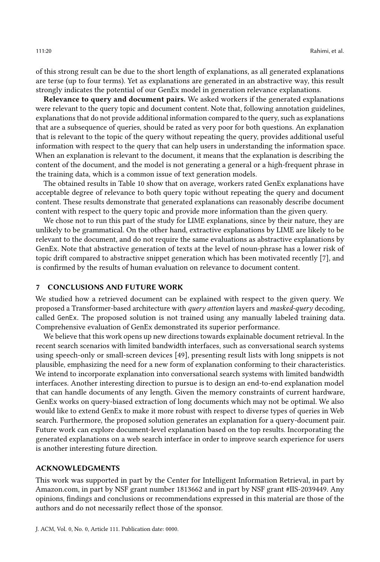of this strong result can be due to the short length of explanations, as all generated explanations are terse (up to four terms). Yet as explanations are generated in an abstractive way, this result strongly indicates the potential of our GenEx model in generation relevance explanations.

Relevance to query and document pairs. We asked workers if the generated explanations were relevant to the query topic and document content. Note that, following annotation guidelines, explanations that do not provide additional information compared to the query, such as explanations that are a subsequence of queries, should be rated as very poor for both questions. An explanation that is relevant to the topic of the query without repeating the query, provides additional useful information with respect to the query that can help users in understanding the information space. When an explanation is relevant to the document, it means that the explanation is describing the content of the document, and the model is not generating a general or a high-frequent phrase in the training data, which is a common issue of text generation models.

The obtained results in Table [10](#page-17-2) show that on average, workers rated GenEx explanations have acceptable degree of relevance to both query topic without repeating the query and document content. These results demonstrate that generated explanations can reasonably describe document content with respect to the query topic and provide more information than the given query.

We chose not to run this part of the study for LIME explanations, since by their nature, they are unlikely to be grammatical. On the other hand, extractive explanations by LIME are likely to be relevant to the document, and do not require the same evaluations as abstractive explanations by GenEx. Note that abstractive generation of texts at the level of noun-phrase has a lower risk of topic drift compared to abstractive snippet generation which has been motivated recently [\[7\]](#page-20-7), and is confirmed by the results of human evaluation on relevance to document content.

## 7 CONCLUSIONS AND FUTURE WORK

We studied how a retrieved document can be explained with respect to the given query. We proposed a Transformer-based architecture with query attention layers and masked-query decoding, called GenEx. The proposed solution is not trained using any manually labeled training data. Comprehensive evaluation of GenEx demonstrated its superior performance.

We believe that this work opens up new directions towards explainable document retrieval. In the recent search scenarios with limited bandwidth interfaces, such as conversational search systems using speech-only or small-screen devices [\[49\]](#page-22-24), presenting result lists with long snippets is not plausible, emphasizing the need for a new form of explanation conforming to their characteristics. We intend to incorporate explanation into conversational search systems with limited bandwidth interfaces. Another interesting direction to pursue is to design an end-to-end explanation model that can handle documents of any length. Given the memory constraints of current hardware, GenEx works on query-biased extraction of long documents which may not be optimal. We also would like to extend GenEx to make it more robust with respect to diverse types of queries in Web search. Furthermore, the proposed solution generates an explanation for a query-document pair. Future work can explore document-level explanation based on the top results. Incorporating the generated explanations on a web search interface in order to improve search experience for users is another interesting future direction.

#### ACKNOWLEDGMENTS

This work was supported in part by the Center for Intelligent Information Retrieval, in part by Amazon.com, in part by NSF grant number 1813662 and in part by NSF grant #IIS-2039449. Any opinions, findings and conclusions or recommendations expressed in this material are those of the authors and do not necessarily reflect those of the sponsor.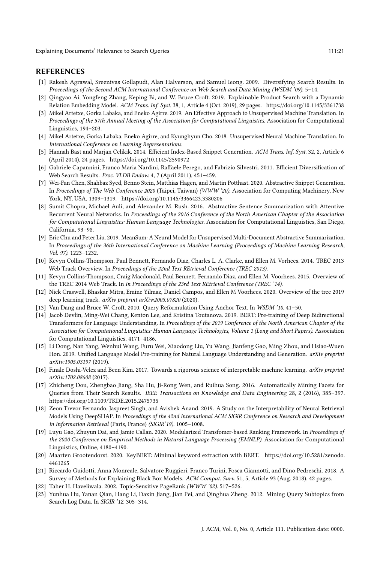Explaining Documents' Relevance to Search Queries 111:21 11:21

#### REFERENCES

- <span id="page-20-13"></span>[1] Rakesh Agrawal, Sreenivas Gollapudi, Alan Halverson, and Samuel Ieong. 2009. Diversifying Search Results. In Proceedings of the Second ACM International Conference on Web Search and Data Mining (WSDM '09). 5–14.
- <span id="page-20-11"></span>[2] Qingyao Ai, Yongfeng Zhang, Keping Bi, and W. Bruce Croft. 2019. Explainable Product Search with a Dynamic Relation Embedding Model. ACM Trans. Inf. Syst. 38, 1, Article 4 (Oct. 2019), 29 pages.<https://doi.org/10.1145/3361738>
- <span id="page-20-4"></span>[3] Mikel Artetxe, Gorka Labaka, and Eneko Agirre. 2019. An Effective Approach to Unsupervised Machine Translation. In Proceedings of the 57th Annual Meeting of the Association for Computational Linguistics. Association for Computational Linguistics, 194–203.
- <span id="page-20-5"></span>[4] Mikel Artetxe, Gorka Labaka, Eneko Agirre, and Kyunghyun Cho. 2018. Unsupervised Neural Machine Translation. In International Conference on Learning Representations.
- <span id="page-20-6"></span>[5] Hannah Bast and Marjan Celikik. 2014. Efficient Index-Based Snippet Generation. ACM Trans. Inf. Syst. 32, 2, Article 6 (April 2014), 24 pages.<https://doi.org/10.1145/2590972>
- <span id="page-20-12"></span>[6] Gabriele Capannini, Franco Maria Nardini, Raffaele Perego, and Fabrizio Silvestri. 2011. Efficient Diversification of Web Search Results. Proc. VLDB Endow. 4, 7 (April 2011), 451–459.
- <span id="page-20-7"></span>[7] Wei-Fan Chen, Shahbaz Syed, Benno Stein, Matthias Hagen, and Martin Potthast. 2020. Abstractive Snippet Generation. In Proceedings of The Web Conference 2020 (Taipei, Taiwan) (WWW '20). Association for Computing Machinery, New York, NY, USA, 1309–1319.<https://doi.org/10.1145/3366423.3380206>
- <span id="page-20-0"></span>[8] Sumit Chopra, Michael Auli, and Alexander M. Rush. 2016. Abstractive Sentence Summarization with Attentive Recurrent Neural Networks. In Proceedings of the 2016 Conference of the North American Chapter of the Association for Computational Linguistics: Human Language Technologies. Association for Computational Linguistics, San Diego, California, 93–98.
- <span id="page-20-1"></span>[9] Eric Chu and Peter Liu. 2019. MeanSum: A Neural Model for Unsupervised Multi-Document Abstractive Summarization. In Proceedings of the 36th International Conference on Machine Learning (Proceedings of Machine Learning Research, Vol. 97). 1223–1232.
- <span id="page-20-17"></span>[10] Kevyn Collins-Thompson, Paul Bennett, Fernando Diaz, Charles L. A. Clarke, and Ellen M. Vorhees. 2014. TREC 2013 Web Track Overview. In Proceedings of the 22nd Text REtrieval Conference (TREC 2013).
- <span id="page-20-18"></span>[11] Kevyn Collins-Thompson, Craig Macdonald, Paul Bennett, Fernando Diaz, and Ellen M. Voorhees. 2015. Overview of the TREC 2014 Web Track. In In Proceedings of the 23rd Text REtrieval Conference (TREC '14).
- <span id="page-20-21"></span>[12] Nick Craswell, Bhaskar Mitra, Emine Yilmaz, Daniel Campos, and Ellen M Voorhees. 2020. Overview of the trec 2019 deep learning track. arXiv preprint arXiv:2003.07820 (2020).
- <span id="page-20-15"></span>[13] Van Dang and Bruce W. Croft. 2010. Query Reformulation Using Anchor Text. In WSDM '10. 41–50.
- <span id="page-20-2"></span>[14] Jacob Devlin, Ming-Wei Chang, Kenton Lee, and Kristina Toutanova. 2019. BERT: Pre-training of Deep Bidirectional Transformers for Language Understanding. In Proceedings of the 2019 Conference of the North American Chapter of the Association for Computational Linguistics: Human Language Technologies, Volume 1 (Long and Short Papers). Association for Computational Linguistics, 4171–4186.
- <span id="page-20-3"></span>[15] Li Dong, Nan Yang, Wenhui Wang, Furu Wei, Xiaodong Liu, Yu Wang, Jianfeng Gao, Ming Zhou, and Hsiao-Wuen Hon. 2019. Unified Language Model Pre-training for Natural Language Understanding and Generation. arXiv preprint arXiv:1905.03197 (2019).
- <span id="page-20-8"></span>[16] Finale Doshi-Velez and Been Kim. 2017. Towards a rigorous science of interpretable machine learning. arXiv preprint arXiv:1702.08608 (2017).
- <span id="page-20-14"></span>[17] Zhicheng Dou, Zhengbao Jiang, Sha Hu, Ji-Rong Wen, and Ruihua Song. 2016. Automatically Mining Facets for Queries from Their Search Results. IEEE Transactions on Knowledge and Data Engineering 28, 2 (2016), 385–397. <https://doi.org/10.1109/TKDE.2015.2475735>
- <span id="page-20-10"></span>[18] Zeon Trevor Fernando, Jaspreet Singh, and Avishek Anand. 2019. A Study on the Interpretability of Neural Retrieval Models Using DeepSHAP. In Proceedings of the 42nd International ACM SIGIR Conference on Research and Development in Information Retrieval (Paris, France) (SIGIR'19). 1005–1008.
- <span id="page-20-22"></span>[19] Luyu Gao, Zhuyun Dai, and Jamie Callan. 2020. Modularized Transfomer-based Ranking Framework. In Proceedings of the 2020 Conference on Empirical Methods in Natural Language Processing (EMNLP). Association for Computational Linguistics, Online, 4180–4190.
- <span id="page-20-20"></span>[20] Maarten Grootendorst. 2020. KeyBERT: Minimal keyword extraction with BERT. [https://doi.org/10.5281/zenodo.](https://doi.org/10.5281/zenodo.4461265) [4461265](https://doi.org/10.5281/zenodo.4461265)
- <span id="page-20-9"></span>[21] Riccardo Guidotti, Anna Monreale, Salvatore Ruggieri, Franco Turini, Fosca Giannotti, and Dino Pedreschi. 2018. A Survey of Methods for Explaining Black Box Models. ACM Comput. Surv. 51, 5, Article 93 (Aug. 2018), 42 pages.
- <span id="page-20-19"></span>[22] Taher H. Haveliwala. 2002. Topic-Sensitive PageRank (WWW '02). 517–526.
- <span id="page-20-16"></span>[23] Yunhua Hu, Yanan Qian, Hang Li, Daxin Jiang, Jian Pei, and Qinghua Zheng. 2012. Mining Query Subtopics from Search Log Data. In SIGIR '12. 305–314.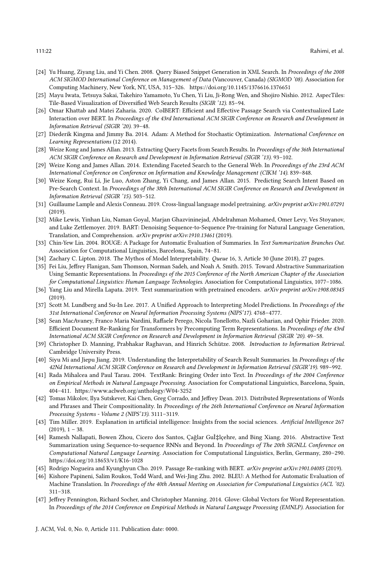- <span id="page-21-8"></span>[24] Yu Huang, Ziyang Liu, and Yi Chen. 2008. Query Biased Snippet Generation in XML Search. In Proceedings of the 2008 ACM SIGMOD International Conference on Management of Data (Vancouver, Canada) (SIGMOD '08). Association for Computing Machinery, New York, NY, USA, 315–326.<https://doi.org/10.1145/1376616.1376651>
- <span id="page-21-15"></span>[25] Mayu Iwata, Tetsuya Sakai, Takehiro Yamamoto, Yu Chen, Yi Liu, Ji-Rong Wen, and Shojiro Nishio. 2012. AspecTiles: Tile-Based Visualization of Diversified Web Search Results (SIGIR '12). 85–94.
- <span id="page-21-17"></span>[26] Omar Khattab and Matei Zaharia. 2020. ColBERT: Efficient and Effective Passage Search via Contextualized Late Interaction over BERT. In Proceedings of the 43rd International ACM SIGIR Conference on Research and Development in Information Retrieval (SIGIR '20). 39–48.
- <span id="page-21-23"></span>[27] Diederik Kingma and Jimmy Ba. 2014. Adam: A Method for Stochastic Optimization. International Conference on Learning Representations (12 2014).
- <span id="page-21-12"></span>[28] Weize Kong and James Allan. 2013. Extracting Query Facets from Search Results. In Proceedings of the 36th International ACM SIGIR Conference on Research and Development in Information Retrieval (SIGIR '13). 93–102.
- <span id="page-21-13"></span>[29] Weize Kong and James Allan. 2014. Extending Faceted Search to the General Web. In Proceedings of the 23rd ACM International Conference on Conference on Information and Knowledge Management (CIKM '14). 839–848.
- <span id="page-21-14"></span>[30] Weize Kong, Rui Li, Jie Luo, Aston Zhang, Yi Chang, and James Allan. 2015. Predicting Search Intent Based on Pre-Search Context. In Proceedings of the 38th International ACM SIGIR Conference on Research and Development in Information Retrieval (SIGIR '15). 503–512.
- <span id="page-21-7"></span>[31] Guillaume Lample and Alexis Conneau. 2019. Cross-lingual language model pretraining. arXiv preprint arXiv:1901.07291 (2019).
- <span id="page-21-6"></span>[32] Mike Lewis, Yinhan Liu, Naman Goyal, Marjan Ghazvininejad, Abdelrahman Mohamed, Omer Levy, Ves Stoyanov, and Luke Zettlemoyer. 2019. BART: Denoising Sequence-to-Sequence Pre-training for Natural Language Generation, Translation, and Comprehension. arXiv preprint arXiv:1910.13461 (2019).
- <span id="page-21-21"></span>[33] Chin-Yew Lin. 2004. ROUGE: A Package for Automatic Evaluation of Summaries. In Text Summarization Branches Out. Association for Computational Linguistics, Barcelona, Spain, 74–81.
- <span id="page-21-9"></span>[34] Zachary C. Lipton. 2018. The Mythos of Model Interpretability. Queue 16, 3, Article 30 (June 2018), 27 pages.
- <span id="page-21-1"></span>[35] Fei Liu, Jeffrey Flanigan, Sam Thomson, Norman Sadeh, and Noah A. Smith. 2015. Toward Abstractive Summarization Using Semantic Representations. In Proceedings of the 2015 Conference of the North American Chapter of the Association for Computational Linguistics: Human Language Technologies. Association for Computational Linguistics, 1077–1086.
- <span id="page-21-5"></span>[36] Yang Liu and Mirella Lapata. 2019. Text summarization with pretrained encoders. arXiv preprint arXiv:1908.08345 (2019).
- <span id="page-21-11"></span>[37] Scott M. Lundberg and Su-In Lee. 2017. A Unified Approach to Interpreting Model Predictions. In Proceedings of the 31st International Conference on Neural Information Processing Systems (NIPS'17). 4768–4777.
- <span id="page-21-18"></span>[38] Sean MacAvaney, Franco Maria Nardini, Raffaele Perego, Nicola Tonellotto, Nazli Goharian, and Ophir Frieder. 2020. Efficient Document Re-Ranking for Transformers by Precomputing Term Representations. In Proceedings of the 43rd International ACM SIGIR Conference on Research and Development in Information Retrieval (SIGIR '20). 49–58.
- <span id="page-21-19"></span>[39] Christopher D. Manning, Prabhakar Raghavan, and Hinrich Schütze. 2008. Introduction to Information Retrieval. Cambridge University Press.
- <span id="page-21-0"></span>[40] Siyu Mi and Jiepu Jiang. 2019. Understanding the Interpretability of Search Result Summaries. In Proceedings of the 42Nd International ACM SIGIR Conference on Research and Development in Information Retrieval (SIGIR'19). 989–992.
- <span id="page-21-22"></span>[41] Rada Mihalcea and Paul Tarau. 2004. TextRank: Bringing Order into Text. In Proceedings of the 2004 Conference on Empirical Methods in Natural Language Processing. Association for Computational Linguistics, Barcelona, Spain, 404–411.<https://www.aclweb.org/anthology/W04-3252>
- <span id="page-21-3"></span>[42] Tomas Mikolov, Ilya Sutskever, Kai Chen, Greg Corrado, and Jeffrey Dean. 2013. Distributed Representations of Words and Phrases and Their Compositionality. In Proceedings of the 26th International Conference on Neural Information Processing Systems - Volume 2 (NIPS'13). 3111–3119.
- <span id="page-21-10"></span>[43] Tim Miller. 2019. Explanation in artificial intelligence: Insights from the social sciences. Artificial Intelligence 267  $(2019), 1 - 38.$
- <span id="page-21-2"></span>[44] Ramesh Nallapati, Bowen Zhou, Cicero dos Santos, Çağlar Gul‡lçehre, and Bing Xiang. 2016. Abstractive Text Summarization using Sequence-to-sequence RNNs and Beyond. In Proceedings of The 20th SIGNLL Conference on Computational Natural Language Learning. Association for Computational Linguistics, Berlin, Germany, 280–290. <https://doi.org/10.18653/v1/K16-1028>
- <span id="page-21-16"></span>[45] Rodrigo Nogueira and Kyunghyun Cho. 2019. Passage Re-ranking with BERT. arXiv preprint arXiv:1901.04085 (2019).
- <span id="page-21-20"></span>[46] Kishore Papineni, Salim Roukos, Todd Ward, and Wei-Jing Zhu. 2002. BLEU: A Method for Automatic Evaluation of Machine Translation. In Proceedings of the 40th Annual Meeting on Association for Computational Linguistics (ACL '02). 311–318.
- <span id="page-21-4"></span>[47] Jeffrey Pennington, Richard Socher, and Christopher Manning. 2014. Glove: Global Vectors for Word Representation. In Proceedings of the 2014 Conference on Empirical Methods in Natural Language Processing (EMNLP). Association for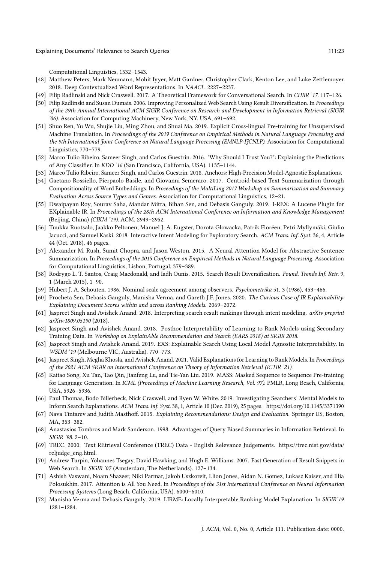Computational Linguistics, 1532–1543.

- <span id="page-22-8"></span>[48] Matthew Peters, Mark Neumann, Mohit Iyyer, Matt Gardner, Christopher Clark, Kenton Lee, and Luke Zettlemoyer. 2018. Deep Contextualized Word Representations. In NAACL. 2227–2237.
- <span id="page-22-24"></span>[49] Filip Radlinski and Nick Craswell. 2017. A Theoretical Framework for Conversational Search. In CHIIR '17. 117–126.
- <span id="page-22-20"></span>[50] Filip Radlinski and Susan Dumais. 2006. Improving Personalized Web Search Using Result Diversification. In Proceedings of the 29th Annual International ACM SIGIR Conference on Research and Development in Information Retrieval (SIGIR '06). Association for Computing Machinery, New York, NY, USA, 691–692.
- <span id="page-22-10"></span>[51] Shuo Ren, Yu Wu, Shujie Liu, Ming Zhou, and Shuai Ma. 2019. Explicit Cross-lingual Pre-training for Unsupervised Machine Translation. In Proceedings of the 2019 Conference on Empirical Methods in Natural Language Processing and the 9th International Joint Conference on Natural Language Processing (EMNLP-IJCNLP). Association for Computational Linguistics, 770–779.
- <span id="page-22-16"></span>[52] Marco Tulio Ribeiro, Sameer Singh, and Carlos Guestrin. 2016. "Why Should I Trust You?": Explaining the Predictions of Any Classifier. In KDD '16 (San Francisco, California, USA). 1135–1144.
- <span id="page-22-12"></span>[53] Marco Tulio Ribeiro, Sameer Singh, and Carlos Guestrin. 2018. Anchors: High-Precision Model-Agnostic Explanations.
- <span id="page-22-7"></span>[54] Gaetano Rossiello, Pierpaolo Basile, and Giovanni Semeraro. 2017. Centroid-based Text Summarization through Compositionality of Word Embeddings. In Proceedings of the MultiLing 2017 Workshop on Summarization and Summary Evaluation Across Source Types and Genres. Association for Computational Linguistics, 12–21.
- <span id="page-22-13"></span>[55] Dwaipayan Roy, Sourav Saha, Mandar Mitra, Bihan Sen, and Debasis Ganguly. 2019. I-REX: A Lucene Plugin for EXplainable IR. In Proceedings of the 28th ACM International Conference on Information and Knowledge Management (Beijing, China) (CIKM '19). ACM, 2949–2952.
- <span id="page-22-21"></span>[56] Tuukka Ruotsalo, Jaakko Peltonen, Manuel J. A. Eugster, Dorota Glowacka, Patrik Floréen, Petri Myllymäki, Giulio Jacucci, and Samuel Kaski. 2018. Interactive Intent Modeling for Exploratory Search. ACM Trans. Inf. Syst. 36, 4, Article 44 (Oct. 2018), 46 pages.
- <span id="page-22-5"></span>[57] Alexander M. Rush, Sumit Chopra, and Jason Weston. 2015. A Neural Attention Model for Abstractive Sentence Summarization. In Proceedings of the 2015 Conference on Empirical Methods in Natural Language Processing. Association for Computational Linguistics, Lisbon, Portugal, 379–389.
- <span id="page-22-19"></span>[58] Rodrygo L. T. Santos, Craig Macdonald, and Iadh Ounis. 2015. Search Result Diversification. Found. Trends Inf. Retr. 9, 1 (March 2015), 1–90.
- <span id="page-22-23"></span>[59] Hubert J. A. Schouten. 1986. Nominal scale agreement among observers. Psychometrika 51, 3 (1986), 453–466.
- <span id="page-22-17"></span>[60] Procheta Sen, Debasis Ganguly, Manisha Verma, and Gareth J.F. Jones. 2020. The Curious Case of IR Explainability: Explaining Document Scores within and across Ranking Models. 2069–2072.
- <span id="page-22-14"></span>[61] Jaspreet Singh and Avishek Anand. 2018. Interpreting search result rankings through intent modeling. arXiv preprint arXiv:1809.05190 (2018).
- <span id="page-22-3"></span>[62] Jaspreet Singh and Avishek Anand. 2018. Posthoc Interpretability of Learning to Rank Models using Secondary Training Data. In Workshop on ExplainAble Recommendation and Search (EARS 2018) at SIGIR 2018.
- <span id="page-22-2"></span>[63] Jaspreet Singh and Avishek Anand. 2019. EXS: Explainable Search Using Local Model Agnostic Interpretability. In WSDM '19 (Melbourne VIC, Australia). 770–773.
- <span id="page-22-18"></span>[64] Jaspreet Singh, Megha Khosla, and Avishek Anand. 2021. Valid Explanations for Learning to Rank Models. In Proceedings of the 2021 ACM SIGIR on International Conference on Theory of Information Retrieval (ICTIR '21).
- <span id="page-22-9"></span>[65] Kaitao Song, Xu Tan, Tao Qin, Jianfeng Lu, and Tie-Yan Liu. 2019. MASS: Masked Sequence to Sequence Pre-training for Language Generation. In ICML (Proceedings of Machine Learning Research, Vol. 97). PMLR, Long Beach, California, USA, 5926–5936.
- <span id="page-22-1"></span>[66] Paul Thomas, Bodo Billerbeck, Nick Craswell, and Ryen W. White. 2019. Investigating Searchers' Mental Models to Inform Search Explanations. ACM Trans. Inf. Syst. 38, 1, Article 10 (Dec. 2019), 25 pages.<https://doi.org/10.1145/3371390>
- <span id="page-22-22"></span>[67] Nava Tintarev and Judith Masthoff. 2015. Explaining Recommendations: Design and Evaluation. Springer US, Boston, MA, 353–382.
- <span id="page-22-0"></span>[68] Anastasios Tombros and Mark Sanderson. 1998. Advantages of Query Biased Summaries in Information Retrieval. In SIGIR '98. 2–10.
- <span id="page-22-4"></span>[69] TREC. 2000. Text REtrieval Conference (TREC) Data - English Relevance Judgements. [https://trec.nist.gov/data/](https://trec.nist.gov/data/reljudge_eng.html) [reljudge\\_eng.html.](https://trec.nist.gov/data/reljudge_eng.html)
- <span id="page-22-11"></span>[70] Andrew Turpin, Yohannes Tsegay, David Hawking, and Hugh E. Williams. 2007. Fast Generation of Result Snippets in Web Search. In SIGIR '07 (Amsterdam, The Netherlands). 127–134.
- <span id="page-22-6"></span>[71] Ashish Vaswani, Noam Shazeer, Niki Parmar, Jakob Uszkoreit, Llion Jones, Aidan N. Gomez, Lukasz Kaiser, and Illia Polosukhin. 2017. Attention is All You Need. In Proceedings of the 31st International Conference on Neural Information Processing Systems (Long Beach, California, USA). 6000–6010.
- <span id="page-22-15"></span>[72] Manisha Verma and Debasis Ganguly. 2019. LIRME: Locally Interpretable Ranking Model Explanation. In SIGIR'19. 1281–1284.